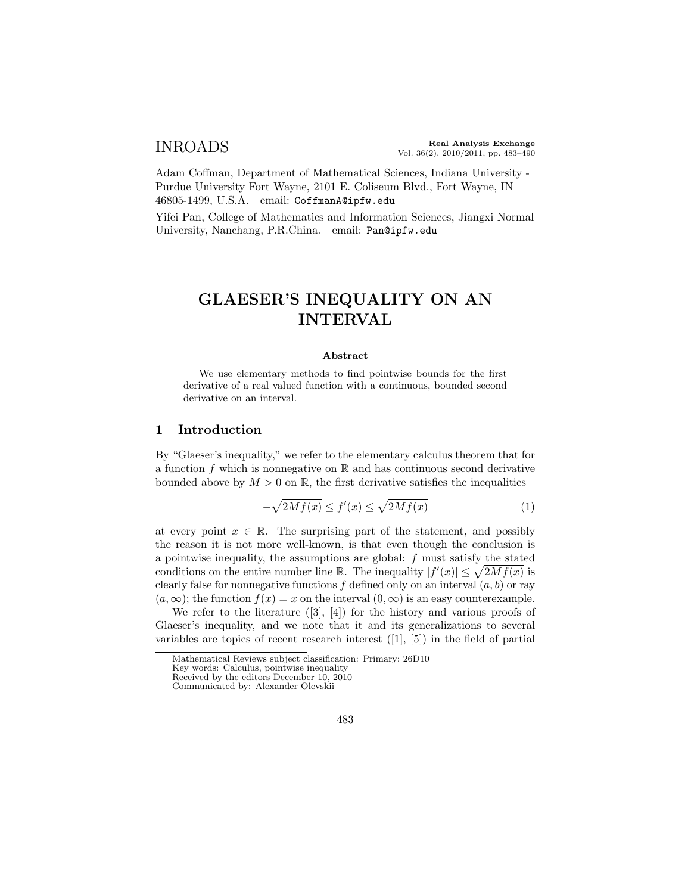Adam Coffman, Department of Mathematical Sciences, Indiana University - Purdue University Fort Wayne, 2101 E. Coliseum Blvd., Fort Wayne, IN 46805-1499, U.S.A. email: CoffmanA@ipfw.edu

Yifei Pan, College of Mathematics and Information Sciences, Jiangxi Normal University, Nanchang, P.R.China. email: Pan@ipfw.edu

# GLAESER'S INEQUALITY ON AN INTERVAL

#### Abstract

We use elementary methods to find pointwise bounds for the first derivative of a real valued function with a continuous, bounded second derivative on an interval.

#### 1 Introduction

By "Glaeser's inequality," we refer to the elementary calculus theorem that for a function  $f$  which is nonnegative on  $\mathbb R$  and has continuous second derivative bounded above by  $M > 0$  on R, the first derivative satisfies the inequalities

$$
-\sqrt{2Mf(x)} \le f'(x) \le \sqrt{2Mf(x)}\tag{1}
$$

at every point  $x \in \mathbb{R}$ . The surprising part of the statement, and possibly the reason it is not more well-known, is that even though the conclusion is a pointwise inequality, the assumptions are global:  $f$  must satisfy the stated conditions on the entire number line R. The inequality  $|f'(x)| \leq \sqrt{2Mf(x)}$  is clearly false for nonnegative functions  $f$  defined only on an interval  $(a, b)$  or ray  $(a, \infty)$ ; the function  $f(x) = x$  on the interval  $(0, \infty)$  is an easy counterexample.

We refer to the literature  $([3], [4])$  for the history and various proofs of Glaeser's inequality, and we note that it and its generalizations to several variables are topics of recent research interest ([1], [5]) in the field of partial

Mathematical Reviews subject classification: Primary: 26D10

Key words: Calculus, pointwise inequality

Received by the editors December 10, 2010 Communicated by: Alexander Olevskii

<sup>483</sup>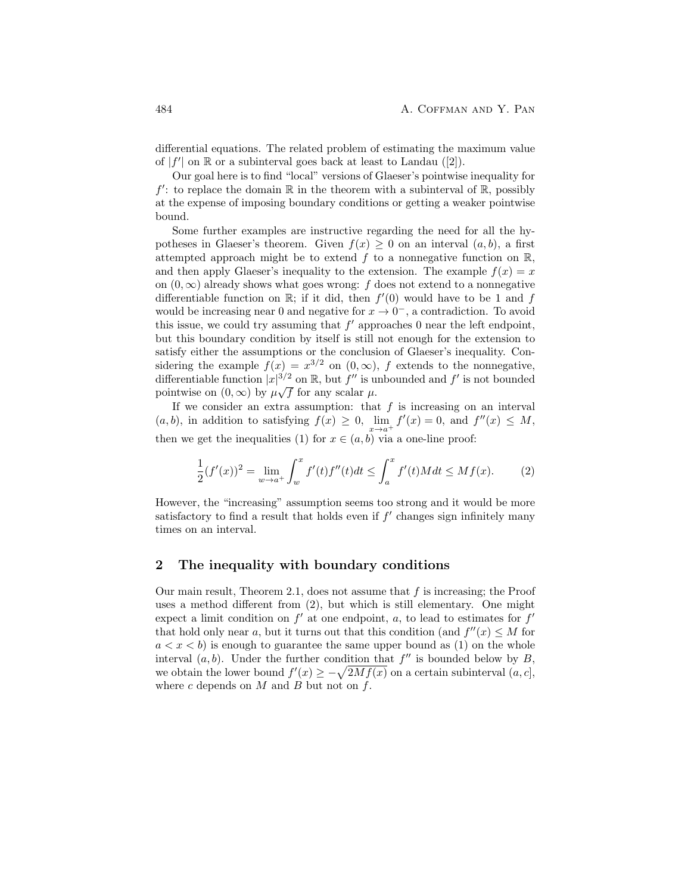differential equations. The related problem of estimating the maximum value of  $|f'|$  on  $\mathbb R$  or a subinterval goes back at least to Landau ([2]).

Our goal here is to find "local" versions of Glaeser's pointwise inequality for  $f'$ : to replace the domain  $\mathbb R$  in the theorem with a subinterval of  $\mathbb R$ , possibly at the expense of imposing boundary conditions or getting a weaker pointwise bound.

Some further examples are instructive regarding the need for all the hypotheses in Glaeser's theorem. Given  $f(x) \geq 0$  on an interval  $(a, b)$ , a first attempted approach might be to extend f to a nonnegative function on  $\mathbb{R}$ , and then apply Glaeser's inequality to the extension. The example  $f(x) = x$ on  $(0, \infty)$  already shows what goes wrong: f does not extend to a nonnegative differentiable function on  $\mathbb{R}$ ; if it did, then  $f'(0)$  would have to be 1 and f would be increasing near 0 and negative for  $x \to 0^-$ , a contradiction. To avoid this issue, we could try assuming that  $f'$  approaches 0 near the left endpoint, but this boundary condition by itself is still not enough for the extension to satisfy either the assumptions or the conclusion of Glaeser's inequality. Considering the example  $f(x) = x^{3/2}$  on  $(0, \infty)$ , f extends to the nonnegative, differentiable function  $|x|^{3/2}$  on  $\mathbb{R}$ , but  $f''$  is unbounded and  $f'$  is not bounded pointwise on  $(0, \infty)$  by  $\mu \sqrt{f}$  for any scalar  $\mu$ .

If we consider an extra assumption: that  $f$  is increasing on an interval  $(a, b)$ , in addition to satisfying  $f(x) \ge 0$ ,  $\lim_{x \to a^+} f'(x) = 0$ , and  $f''(x) \le M$ , then we get the inequalities (1) for  $x \in (a, b)$  via a one-line proof:

$$
\frac{1}{2}(f'(x))^{2} = \lim_{w \to a^{+}} \int_{w}^{x} f'(t)f''(t)dt \le \int_{a}^{x} f'(t)Mdt \le Mf(x).
$$
 (2)

However, the "increasing" assumption seems too strong and it would be more satisfactory to find a result that holds even if  $f'$  changes sign infinitely many times on an interval.

### 2 The inequality with boundary conditions

Our main result, Theorem 2.1, does not assume that  $f$  is increasing; the Proof uses a method different from (2), but which is still elementary. One might expect a limit condition on  $f'$  at one endpoint, a, to lead to estimates for  $f'$ that hold only near a, but it turns out that this condition (and  $f''(x) \leq M$  for  $a < x < b$ ) is enough to guarantee the same upper bound as (1) on the whole interval  $(a, b)$ . Under the further condition that  $f''$  is bounded below by  $B$ , we obtain the lower bound  $f'(x) \geq -\sqrt{2Mf(x)}$  on a certain subinterval  $(a, c]$ , where  $c$  depends on  $M$  and  $B$  but not on  $f$ .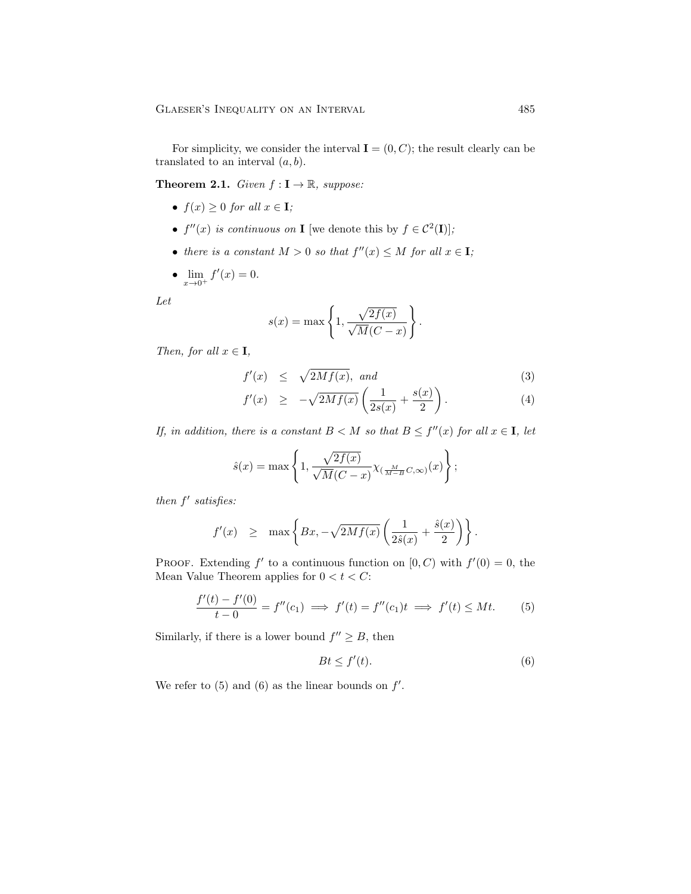For simplicity, we consider the interval  $I = (0, C)$ ; the result clearly can be translated to an interval  $(a, b)$ .

**Theorem 2.1.** Given  $f: I \to \mathbb{R}$ , suppose:

- $f(x) \geq 0$  for all  $x \in I$ ;
- $f''(x)$  is continuous on **I** [we denote this by  $f \in C^2(\mathbf{I})$ ];
- there is a constant  $M > 0$  so that  $f''(x) \leq M$  for all  $x \in I$ ;
- $\lim_{x \to 0^+} f'(x) = 0.$

Let

$$
s(x) = \max\left\{1, \frac{\sqrt{2f(x)}}{\sqrt{M}(C-x)}\right\}.
$$

Then, for all  $x \in I$ ,

$$
f'(x) \le \sqrt{2Mf(x)}, \text{ and } (3)
$$

$$
f'(x) \ge -\sqrt{2Mf(x)} \left( \frac{1}{2s(x)} + \frac{s(x)}{2} \right). \tag{4}
$$

If, in addition, there is a constant  $B < M$  so that  $B \leq f''(x)$  for all  $x \in I$ , let

$$
\hat{s}(x) = \max\left\{1, \frac{\sqrt{2f(x)}}{\sqrt{M}(C-x)} \chi_{(\frac{M}{M-B}C,\infty)}(x)\right\};
$$

then  $f'$  satisfies:

$$
f'(x) \geq \max \left\{ Bx, -\sqrt{2Mf(x)} \left( \frac{1}{2\hat{s}(x)} + \frac{\hat{s}(x)}{2} \right) \right\}.
$$

PROOF. Extending  $f'$  to a continuous function on  $[0, C)$  with  $f'(0) = 0$ , the Mean Value Theorem applies for  $0 < t < C$ :

$$
\frac{f'(t) - f'(0)}{t - 0} = f''(c_1) \implies f'(t) = f''(c_1)t \implies f'(t) \le Mt.
$$
 (5)

Similarly, if there is a lower bound  $f'' \geq B$ , then

$$
Bt \le f'(t). \tag{6}
$$

We refer to  $(5)$  and  $(6)$  as the linear bounds on  $f'$ .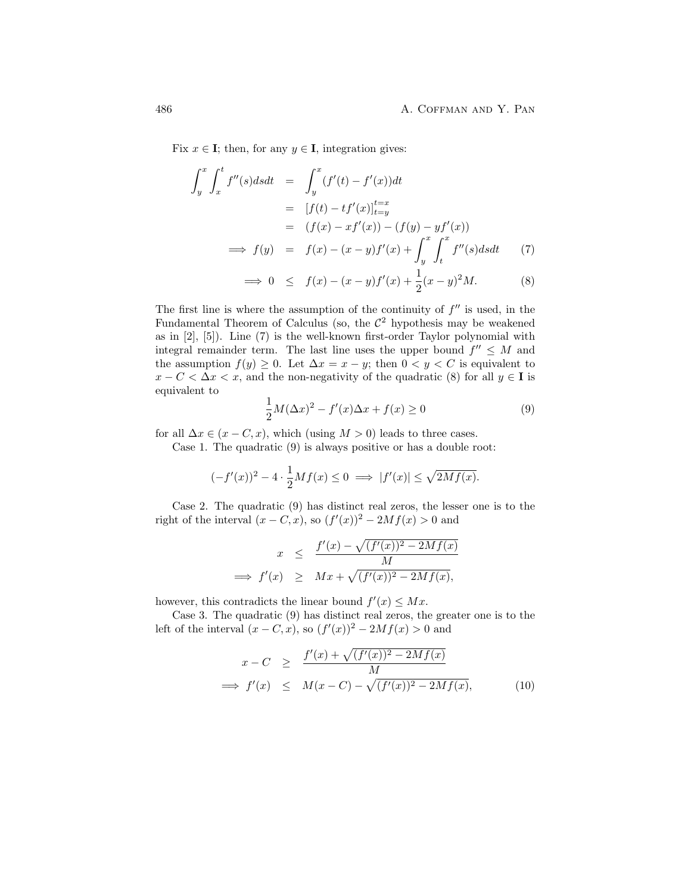Fix  $x \in I$ ; then, for any  $y \in I$ , integration gives:

$$
\int_{y}^{x} \int_{x}^{t} f''(s) ds dt = \int_{y}^{x} (f'(t) - f'(x)) dt
$$
  
\n
$$
= [f(t) - tf'(x)]_{t=y}^{t=x}
$$
  
\n
$$
= (f(x) - xf'(x)) - (f(y) - yf'(x))
$$
  
\n
$$
\implies f(y) = f(x) - (x - y)f'(x) + \int_{y}^{x} \int_{t}^{x} f''(s) ds dt \qquad (7)
$$
  
\n
$$
\implies 0 \leq f(x) - (x - y)f'(x) + \frac{1}{2}(x - y)^{2}M. \qquad (8)
$$

The first line is where the assumption of the continuity of  $f''$  is used, in the Fundamental Theorem of Calculus (so, the  $\mathcal{C}^2$  hypothesis may be weakened as in [2], [5]). Line (7) is the well-known first-order Taylor polynomial with integral remainder term. The last line uses the upper bound  $f'' \leq M$  and the assumption  $f(y) \geq 0$ . Let  $\Delta x = x - y$ ; then  $0 < y < C$  is equivalent to  $x - C < \Delta x < x$ , and the non-negativity of the quadratic (8) for all  $y \in I$  is equivalent to

$$
\frac{1}{2}M(\Delta x)^2 - f'(x)\Delta x + f(x) \ge 0
$$
\n(9)

for all  $\Delta x \in (x - C, x)$ , which (using  $M > 0$ ) leads to three cases.

Case 1. The quadratic (9) is always positive or has a double root:

$$
(-f'(x))^2 - 4 \cdot \frac{1}{2}Mf(x) \le 0 \implies |f'(x)| \le \sqrt{2Mf(x)}.
$$

Case 2. The quadratic (9) has distinct real zeros, the lesser one is to the right of the interval  $(x - C, x)$ , so  $(f'(x))^2 - 2Mf(x) > 0$  and

$$
x \le \frac{f'(x) - \sqrt{(f'(x))^2 - 2Mf(x)}}{M}
$$
  
\n
$$
\implies f'(x) \ge Mx + \sqrt{(f'(x))^2 - 2Mf(x)},
$$

however, this contradicts the linear bound  $f'(x) \leq Mx$ .

Case 3. The quadratic (9) has distinct real zeros, the greater one is to the left of the interval  $(x - C, x)$ , so  $(f'(x))^2 - 2Mf(x) > 0$  and

$$
x - C \geq \frac{f'(x) + \sqrt{(f'(x))^2 - 2Mf(x)}}{M}
$$
  
\n
$$
\implies f'(x) \leq M(x - C) - \sqrt{(f'(x))^2 - 2Mf(x)},
$$
 (10)

 $\ddot{\phantom{0}}$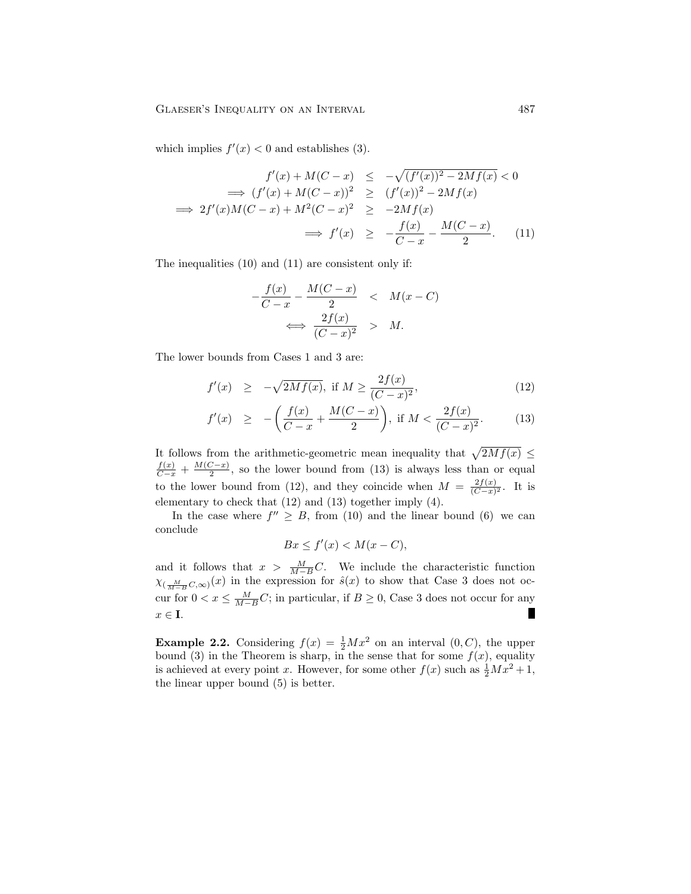which implies  $f'(x) < 0$  and establishes (3).

$$
f'(x) + M(C - x) \le -\sqrt{(f'(x))^2 - 2Mf(x)} < 0
$$
  
\n
$$
\implies (f'(x) + M(C - x))^2 \ge (f'(x))^2 - 2Mf(x)
$$
  
\n
$$
\implies 2f'(x)M(C - x) + M^2(C - x)^2 \ge -2Mf(x)
$$
  
\n
$$
\implies f'(x) \ge -\frac{f(x)}{C - x} - \frac{M(C - x)}{2}.
$$
 (11)

The inequalities (10) and (11) are consistent only if:

$$
-\frac{f(x)}{C-x} - \frac{M(C-x)}{2} < M(x-C)
$$
\n
$$
\iff \frac{2f(x)}{(C-x)^2} > M.
$$

The lower bounds from Cases 1 and 3 are:

$$
f'(x) \ge -\sqrt{2Mf(x)}
$$
, if  $M \ge \frac{2f(x)}{(C-x)^2}$ , (12)

$$
f'(x) \ge -\left(\frac{f(x)}{C-x} + \frac{M(C-x)}{2}\right), \text{ if } M < \frac{2f(x)}{(C-x)^2}.\tag{13}
$$

It follows from the arithmetic-geometric mean inequality that  $\sqrt{2Mf(x)} \leq$  $\frac{f(x)}{C-x} + \frac{M(C-x)}{2}$  $\frac{2-x}{2}$ , so the lower bound from (13) is always less than or equal to the lower bound from (12), and they coincide when  $M = \frac{2f(x)}{(C-x)}$  $\frac{2J(x)}{(C-x)^2}$ . It is elementary to check that (12) and (13) together imply (4).

In the case where  $f'' \geq B$ , from (10) and the linear bound (6) we can conclude

$$
Bx \le f'(x) < M(x - C),
$$

and it follows that  $x > \frac{M}{M-B}C$ . We include the characteristic function  $\chi_{(\frac{M}{M-B}C,\infty)}(x)$  in the expression for  $\hat{s}(x)$  to show that Case 3 does not occur for  $0 < x \le \frac{M}{M-B}C$ ; in particular, if  $B \ge 0$ , Case 3 does not occur for any  $x \in \mathbf{I}$ .

**Example 2.2.** Considering  $f(x) = \frac{1}{2}Mx^2$  on an interval  $(0, C)$ , the upper bound (3) in the Theorem is sharp, in the sense that for some  $f(x)$ , equality is achieved at every point x. However, for some other  $f(x)$  such as  $\frac{1}{2}Mx^2 + 1$ , the linear upper bound (5) is better.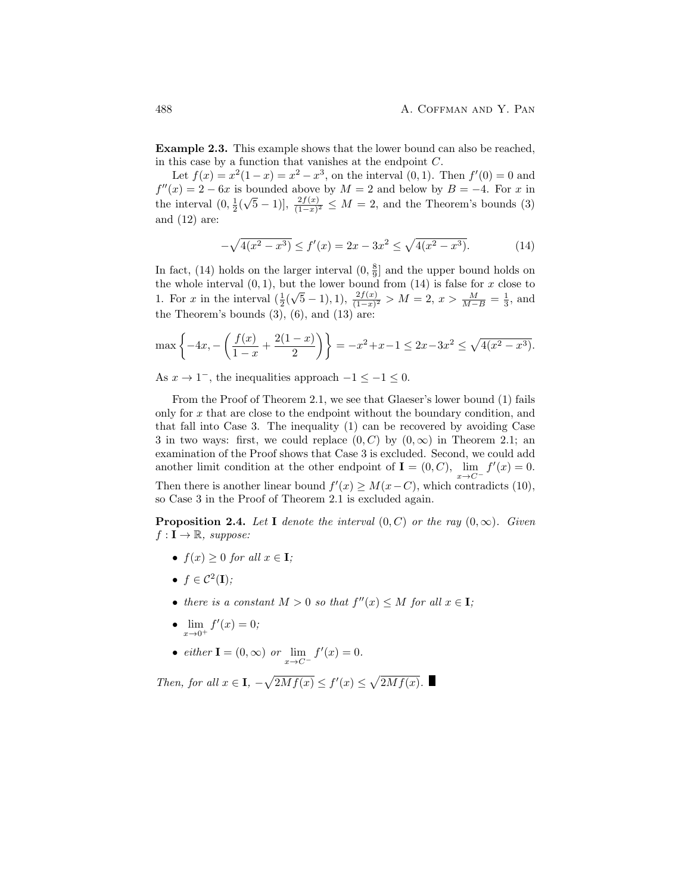Example 2.3. This example shows that the lower bound can also be reached, in this case by a function that vanishes at the endpoint  $C$ .

Let  $f(x) = x^2(1-x) = x^2 - x^3$ , on the interval  $(0,1)$ . Then  $f'(0) = 0$  and  $f''(x) = 2 - 6x$  is bounded above by  $M = 2$  and below by  $B = -4$ . For x in the interval  $(0, \frac{1}{2}(\sqrt{5}-1)$ ,  $\frac{2f(x)}{(1-x)^2} \leq M = 2$ , and the Theorem's bounds (3) and (12) are:

$$
-\sqrt{4(x^2 - x^3)} \le f'(x) = 2x - 3x^2 \le \sqrt{4(x^2 - x^3)}.
$$
 (14)

In fact, (14) holds on the larger interval  $(0, \frac{8}{9}]$  and the upper bound holds on the whole interval  $(0, 1)$ , but the lower bound from  $(14)$  is false for x close to 1. For x in the interval  $\left(\frac{1}{2}\right)$  $\sqrt{5} - 1$ , 1),  $\frac{2f(x)}{(1-x)^2} > M = 2$ ,  $x > \frac{M}{M-B} = \frac{1}{3}$ , and the Theorem's bounds  $(3)$ ,  $(6)$ , and  $(13)$  are:

$$
\max\left\{-4x, -\left(\frac{f(x)}{1-x} + \frac{2(1-x)}{2}\right)\right\} = -x^2 + x - 1 \le 2x - 3x^2 \le \sqrt{4(x^2 - x^3)}.
$$

As  $x \to 1^-$ , the inequalities approach  $-1 \le -1 \le 0$ .

From the Proof of Theorem 2.1, we see that Glaeser's lower bound (1) fails only for x that are close to the endpoint without the boundary condition, and that fall into Case 3. The inequality (1) can be recovered by avoiding Case 3 in two ways: first, we could replace  $(0, C)$  by  $(0, \infty)$  in Theorem 2.1; an examination of the Proof shows that Case 3 is excluded. Second, we could add another limit condition at the other endpoint of **I** =  $(0, C)$ ,  $\lim_{x \to C^{-}} f'(x) = 0$ . Then there is another linear bound  $f'(x) \geq M(x-C)$ , which contradicts (10), so Case 3 in the Proof of Theorem 2.1 is excluded again.

**Proposition 2.4.** Let I denote the interval  $(0, C)$  or the ray  $(0, \infty)$ . Given  $f: \mathbf{I} \to \mathbb{R}$ , suppose:

- $f(x) \geq 0$  for all  $x \in I$ ;
- $f \in \mathcal{C}^2(I)$ ;
- there is a constant  $M > 0$  so that  $f''(x) \leq M$  for all  $x \in I$ ;
- $\lim_{x \to 0^+} f'(x) = 0;$
- either  $\mathbf{I} = (0, \infty)$  or  $\lim_{x \to C^{-}} f'(x) = 0$ .

Then, for all  $x \in I$ ,  $-\sqrt{2Mf(x)} \le f'(x) \le \sqrt{2Mf(x)}$ .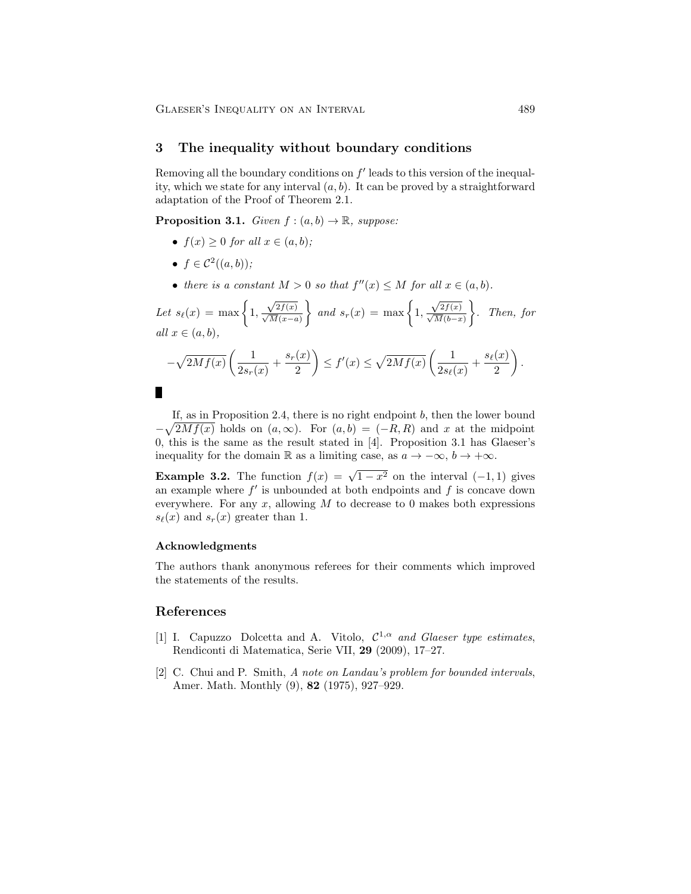GLAESER'S INEQUALITY ON AN INTERVAL 489

#### 3 The inequality without boundary conditions

Removing all the boundary conditions on  $f'$  leads to this version of the inequality, which we state for any interval  $(a, b)$ . It can be proved by a straightforward adaptation of the Proof of Theorem 2.1.

**Proposition 3.1.** Given  $f:(a, b) \rightarrow \mathbb{R}$ , suppose:

- $f(x) \geq 0$  for all  $x \in (a, b)$ ;
- $f \in \mathcal{C}^2((a, b))$ ;
- there is a constant  $M > 0$  so that  $f''(x) \leq M$  for all  $x \in (a, b)$ .

Let 
$$
s_{\ell}(x) = \max\left\{1, \frac{\sqrt{2f(x)}}{\sqrt{M(x-a)}}\right\}
$$
 and  $s_r(x) = \max\left\{1, \frac{\sqrt{2f(x)}}{\sqrt{M(b-x)}}\right\}$ . Then, for  
all  $x \in (a, b)$ ,  

$$
-\sqrt{2Mf(x)}\left(\frac{1}{2s_r(x)} + \frac{s_r(x)}{2}\right) \le f'(x) \le \sqrt{2Mf(x)}\left(\frac{1}{2s_{\ell}(x)} + \frac{s_{\ell}(x)}{2}\right).
$$

If, as in Proposition 2.4, there is no right endpoint  $b$ , then the lower bound  $-\sqrt{2Mf(x)}$  holds on  $(a,\infty)$ . For  $(a,b) = (-R,R)$  and x at the midpoint 0, this is the same as the result stated in [4]. Proposition 3.1 has Glaeser's inequality for the domain R as a limiting case, as  $a \to -\infty$ ,  $b \to +\infty$ .

**Example 3.2.** The function  $f(x) = \sqrt{1-x^2}$  on the interval  $(-1,1)$  gives an example where  $f'$  is unbounded at both endpoints and  $f$  is concave down everywhere. For any  $x$ , allowing  $M$  to decrease to 0 makes both expressions  $s_{\ell}(x)$  and  $s_{r}(x)$  greater than 1.

#### Acknowledgments

The authors thank anonymous referees for their comments which improved the statements of the results.

## References

- [1] I. Capuzzo Dolcetta and A. Vitolo,  $C^{1,\alpha}$  and Glaeser type estimates, Rendiconti di Matematica, Serie VII, 29 (2009), 17–27.
- [2] C. Chui and P. Smith, A note on Landau's problem for bounded intervals, Amer. Math. Monthly (9), 82 (1975), 927–929.